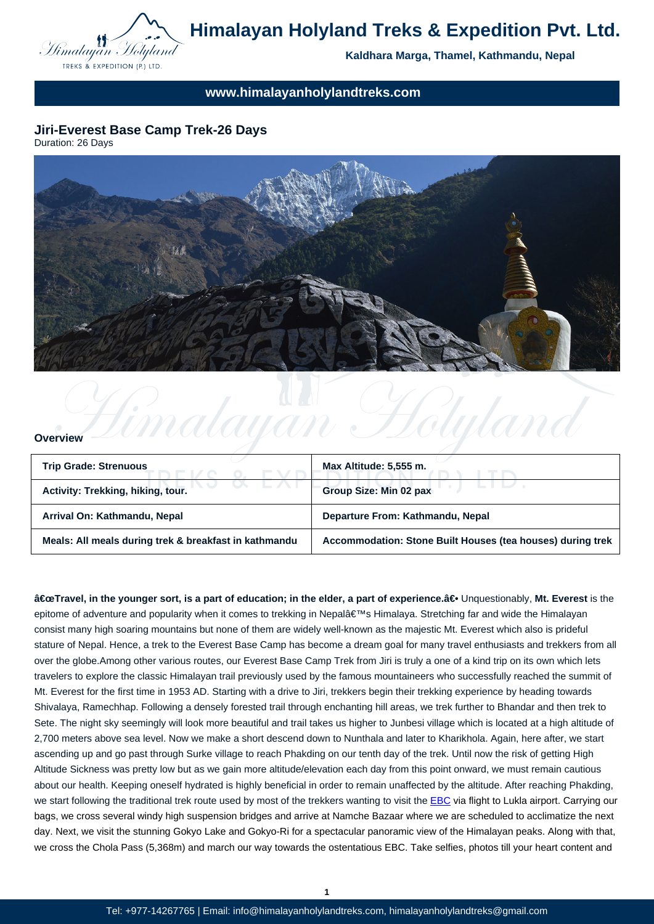

## **www.himalayanholylandtreks.com**

## **Jiri-Everest Base Camp Trek-26 Days**

Duration: 26 Days



#### **Overview**

| <b>Trip Grade: Strenuous</b>                          | Max Altitude: 5,555 m.                                     |
|-------------------------------------------------------|------------------------------------------------------------|
| Activity: Trekking, hiking, tour.                     | <b>Group Size: Min 02 pax</b>                              |
| Arrival On: Kathmandu, Nepal                          | Departure From: Kathmandu, Nepal                           |
| Meals: All meals during trek & breakfast in kathmandu | Accommodation: Stone Built Houses (tea houses) during trek |

Limalayan Holyland

"Travel, in the younger sort, is a part of education; in the elder, a part of experience.―Unquestionably, Mt. Everest is the epitome of adventure and popularity when it comes to trekking in Nepal's Himalaya. Stretching far and wide the Himalayan consist many high soaring mountains but none of them are widely well-known as the majestic Mt. Everest which also is prideful stature of Nepal. Hence, a trek to the Everest Base Camp has become a dream goal for many travel enthusiasts and trekkers from all over the globe.Among other various routes, our Everest Base Camp Trek from Jiri is truly a one of a kind trip on its own which lets travelers to explore the classic Himalayan trail previously used by the famous mountaineers who successfully reached the summit of Mt. Everest for the first time in 1953 AD. Starting with a drive to Jiri, trekkers begin their trekking experience by heading towards Shivalaya, Ramechhap. Following a densely forested trail through enchanting hill areas, we trek further to Bhandar and then trek to Sete. The night sky seemingly will look more beautiful and trail takes us higher to Junbesi village which is located at a high altitude of 2,700 meters above sea level. Now we make a short descend down to Nunthala and later to Kharikhola. Again, here after, we start ascending up and go past through Surke village to reach Phakding on our tenth day of the trek. Until now the risk of getting High Altitude Sickness was pretty low but as we gain more altitude/elevation each day from this point onward, we must remain cautious about our health. Keeping oneself hydrated is highly beneficial in order to remain unaffected by the altitude. After reaching Phakding, we start following the traditional trek route used by most of the trekkers wanting to visit the **EBC** via flight to Lukla airport. Carrying our bags, we cross several windy high suspension bridges and arrive at Namche Bazaar where we are scheduled to acclimatize the next day. Next, we visit the stunning Gokyo Lake and Gokyo-Ri for a spectacular panoramic view of the Himalayan peaks. Along with that, we cross the Chola Pass (5,368m) and march our way towards the ostentatious EBC. Tak[e self](http://www.himalayanholylandtreks.com/everest-base-camp-trek/)ies, photos till your heart content and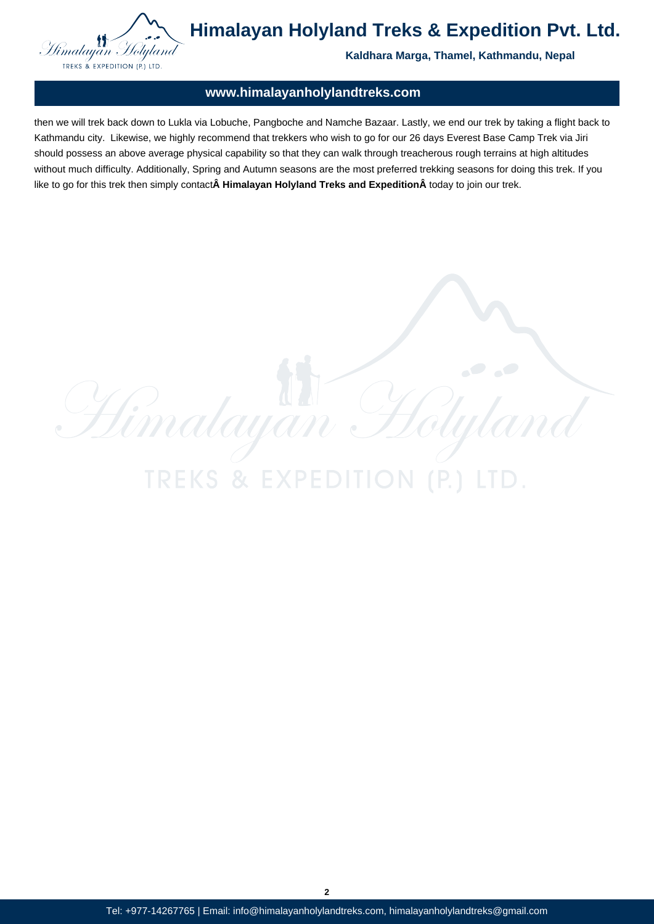

Himalayan

**TREKS & EXPE** 

**Himalayan Holyland Treks & Expedition Pvt. Ltd.**

**Kaldhara Marga, Thamel, Kathmandu, Nepal**

### **www.himalayanholylandtreks.com**

then we will trek back down to Lukla via Lobuche, Pangboche and Namche Bazaar. Lastly, we end our trek by taking a flight back to Kathmandu city. Likewise, we highly recommend that trekkers who wish to go for our 26 days Everest Base Camp Trek via Jiri should possess an above average physical capability so that they can walk through treacherous rough terrains at high altitudes without much difficulty. Additionally, Spring and Autumn seasons are the most preferred trekking seasons for doing this trek. If you like to go for this trek then simply contact **Himalayan Holyland Treks and ExpeditionÂ** today to join our trek.

 $\mathcal{L}$ 

Tel: +977-14267765 | Email: info@himalayanholylandtreks.com, himalayanholylandtreks@gmail.com

**2**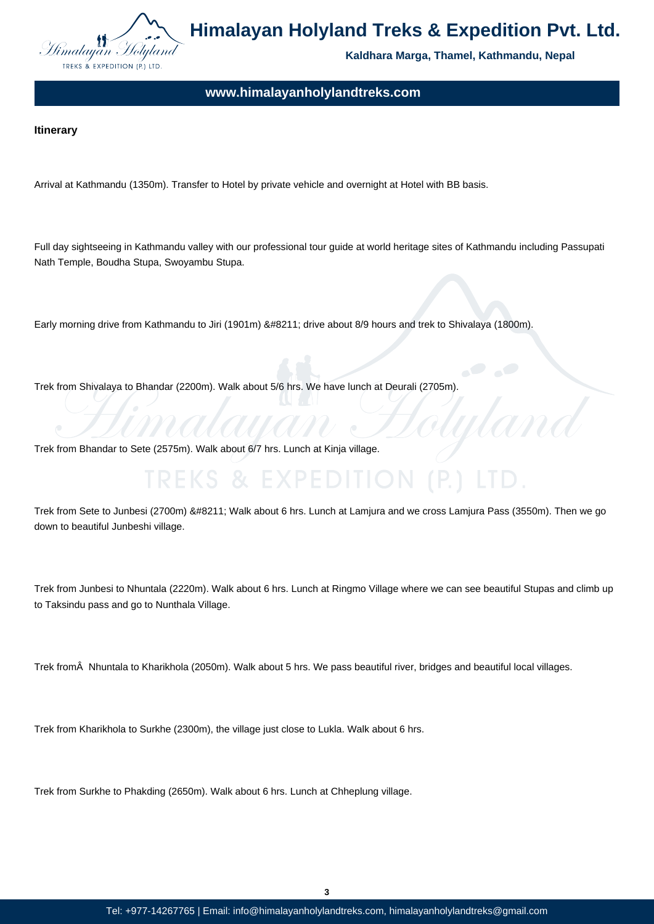

**Kaldhara Marga, Thamel, Kathmandu, Nepal**

**www.himalayanholylandtreks.com**

### **Itinerary**

Arrival at Kathmandu (1350m). Transfer to Hotel by private vehicle and overnight at Hotel with BB basis.

Full day sightseeing in Kathmandu valley with our professional tour guide at world heritage sites of Kathmandu including Passupati Nath Temple, Boudha Stupa, Swoyambu Stupa.

Early morning drive from Kathmandu to Jiri (1901m) – drive about 8/9 hours and trek to Shivalaya (1800m).

Trek from Shivalaya to Bhandar (2200m). Walk about 5/6 hrs. We have lunch at Deurali (2705m).

Trek from Bhandar to Sete (2575m). Walk about 6/7 hrs. Lunch at Kinja village.

Trek from Sete to Junbesi (2700m) – Walk about 6 hrs. Lunch at Lamjura and we cross Lamjura Pass (3550m). Then we go down to beautiful Junbeshi village.

Trek from Junbesi to Nhuntala (2220m). Walk about 6 hrs. Lunch at Ringmo Village where we can see beautiful Stupas and climb up to Taksindu pass and go to Nunthala Village.

Trek from  $\hat{A}$  Nhuntala to Kharikhola (2050m). Walk about 5 hrs. We pass beautiful river, bridges and beautiful local villages.

Trek from Kharikhola to Surkhe (2300m), the village just close to Lukla. Walk about 6 hrs.

Trek from Surkhe to Phakding (2650m). Walk about 6 hrs. Lunch at Chheplung village.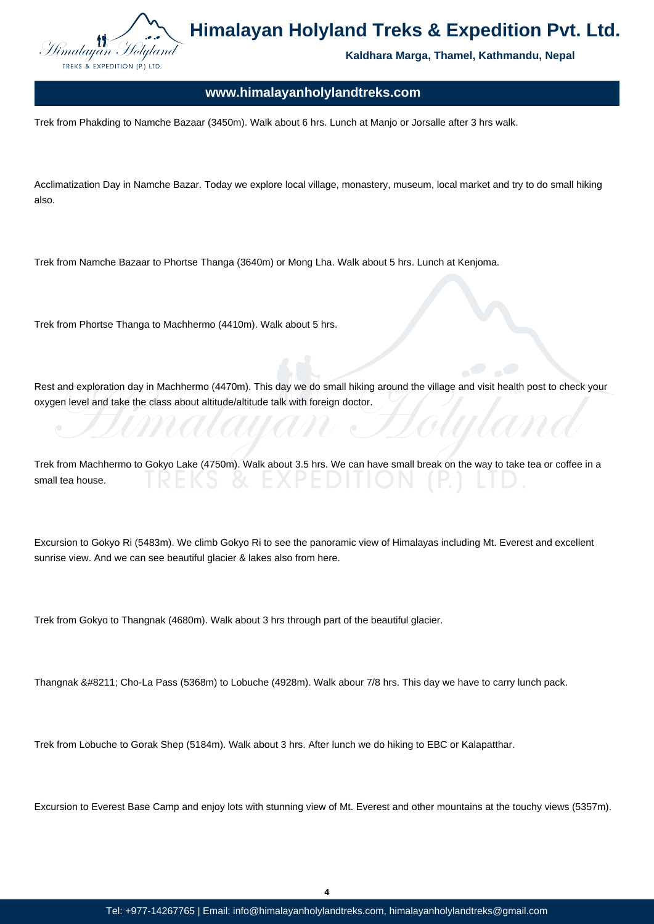

**Kaldhara Marga, Thamel, Kathmandu, Nepal**

### **www.himalayanholylandtreks.com**

Trek from Phakding to Namche Bazaar (3450m). Walk about 6 hrs. Lunch at Manjo or Jorsalle after 3 hrs walk.

Acclimatization Day in Namche Bazar. Today we explore local village, monastery, museum, local market and try to do small hiking also.

Trek from Namche Bazaar to Phortse Thanga (3640m) or Mong Lha. Walk about 5 hrs. Lunch at Kenjoma.

Trek from Phortse Thanga to Machhermo (4410m). Walk about 5 hrs.

Rest and exploration day in Machhermo (4470m). This day we do small hiking around the village and visit health post to check your oxygen level and take the class about altitude/altitude talk with foreign doctor.

Trek from Machhermo to Gokyo Lake (4750m). Walk about 3.5 hrs. We can have small break on the way to take tea or coffee in a small tea house.

Excursion to Gokyo Ri (5483m). We climb Gokyo Ri to see the panoramic view of Himalayas including Mt. Everest and excellent sunrise view. And we can see beautiful glacier & lakes also from here.

Trek from Gokyo to Thangnak (4680m). Walk about 3 hrs through part of the beautiful glacier.

Thangnak – Cho-La Pass (5368m) to Lobuche (4928m). Walk abour 7/8 hrs. This day we have to carry lunch pack.

Trek from Lobuche to Gorak Shep (5184m). Walk about 3 hrs. After lunch we do hiking to EBC or Kalapatthar.

Excursion to Everest Base Camp and enjoy lots with stunning view of Mt. Everest and other mountains at the touchy views (5357m).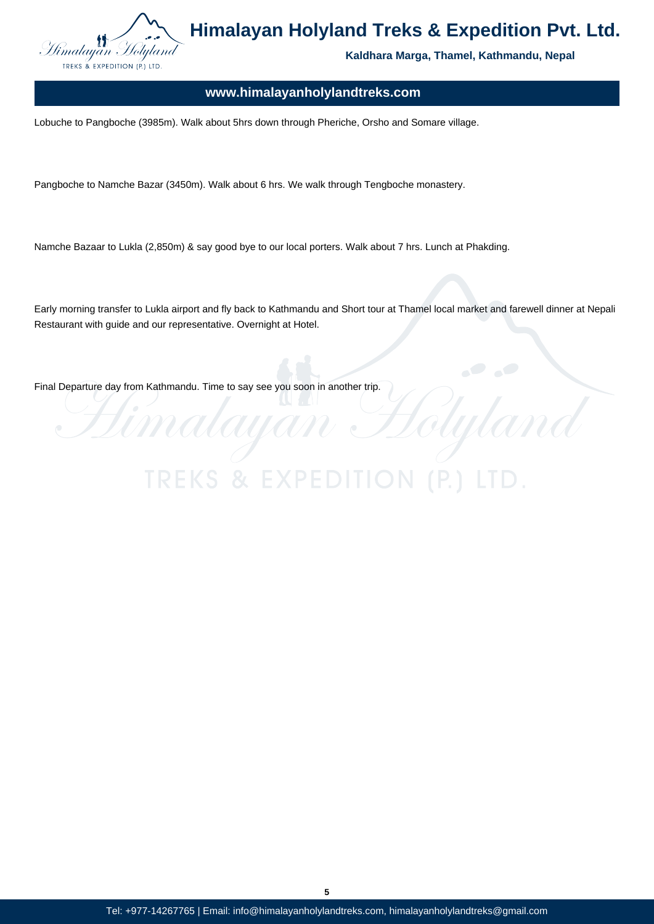

**Kaldhara Marga, Thamel, Kathmandu, Nepal**

Holylan

### **www.himalayanholylandtreks.com**

Lobuche to Pangboche (3985m). Walk about 5hrs down through Pheriche, Orsho and Somare village.

Pangboche to Namche Bazar (3450m). Walk about 6 hrs. We walk through Tengboche monastery.

Namche Bazaar to Lukla (2,850m) & say good bye to our local porters. Walk about 7 hrs. Lunch at Phakding.

Early morning transfer to Lukla airport and fly back to Kathmandu and Short tour at Thamel local market and farewell dinner at Nepali Restaurant with guide and our representative. Overnight at Hotel.

Final Departure day from Kathmandu. Time to say see you soon in another trip.

**TREKS & EXP** 

Himalay

**5**